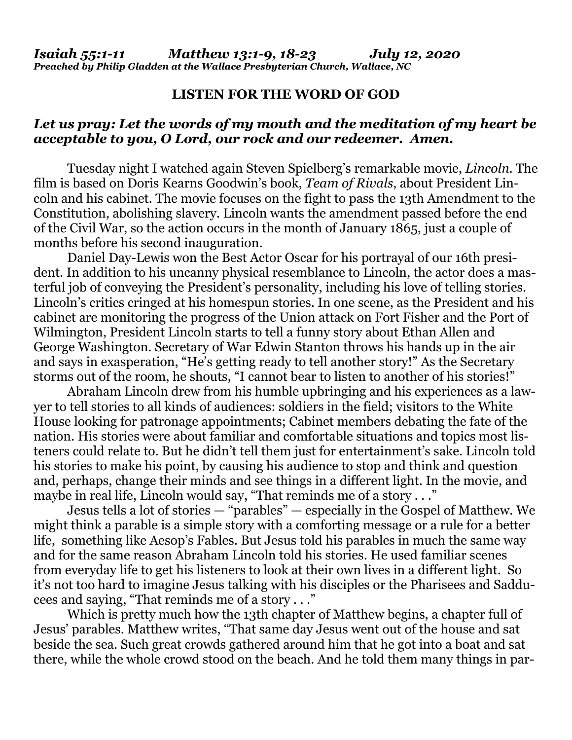## **LISTEN FOR THE WORD OF GOD**

## *Let us pray: Let the words of my mouth and the meditation of my heart be acceptable to you, O Lord, our rock and our redeemer. Amen.*

Tuesday night I watched again Steven Spielberg's remarkable movie, *Lincoln*. The film is based on Doris Kearns Goodwin's book, *Team of Rivals*, about President Lincoln and his cabinet. The movie focuses on the fight to pass the 13th Amendment to the Constitution, abolishing slavery. Lincoln wants the amendment passed before the end of the Civil War, so the action occurs in the month of January 1865, just a couple of months before his second inauguration.

Daniel Day-Lewis won the Best Actor Oscar for his portrayal of our 16th president. In addition to his uncanny physical resemblance to Lincoln, the actor does a masterful job of conveying the President's personality, including his love of telling stories. Lincoln's critics cringed at his homespun stories. In one scene, as the President and his cabinet are monitoring the progress of the Union attack on Fort Fisher and the Port of Wilmington, President Lincoln starts to tell a funny story about Ethan Allen and George Washington. Secretary of War Edwin Stanton throws his hands up in the air and says in exasperation, "He's getting ready to tell another story!" As the Secretary storms out of the room, he shouts, "I cannot bear to listen to another of his stories!"

Abraham Lincoln drew from his humble upbringing and his experiences as a lawyer to tell stories to all kinds of audiences: soldiers in the field; visitors to the White House looking for patronage appointments; Cabinet members debating the fate of the nation. His stories were about familiar and comfortable situations and topics most listeners could relate to. But he didn't tell them just for entertainment's sake. Lincoln told his stories to make his point, by causing his audience to stop and think and question and, perhaps, change their minds and see things in a different light. In the movie, and maybe in real life, Lincoln would say, "That reminds me of a story . . ."

Jesus tells a lot of stories — "parables" — especially in the Gospel of Matthew. We might think a parable is a simple story with a comforting message or a rule for a better life, something like Aesop's Fables. But Jesus told his parables in much the same way and for the same reason Abraham Lincoln told his stories. He used familiar scenes from everyday life to get his listeners to look at their own lives in a different light. So it's not too hard to imagine Jesus talking with his disciples or the Pharisees and Sadducees and saying, "That reminds me of a story . . ."

Which is pretty much how the 13th chapter of Matthew begins, a chapter full of Jesus' parables. Matthew writes, "That same day Jesus went out of the house and sat beside the sea. Such great crowds gathered around him that he got into a boat and sat there, while the whole crowd stood on the beach. And he told them many things in par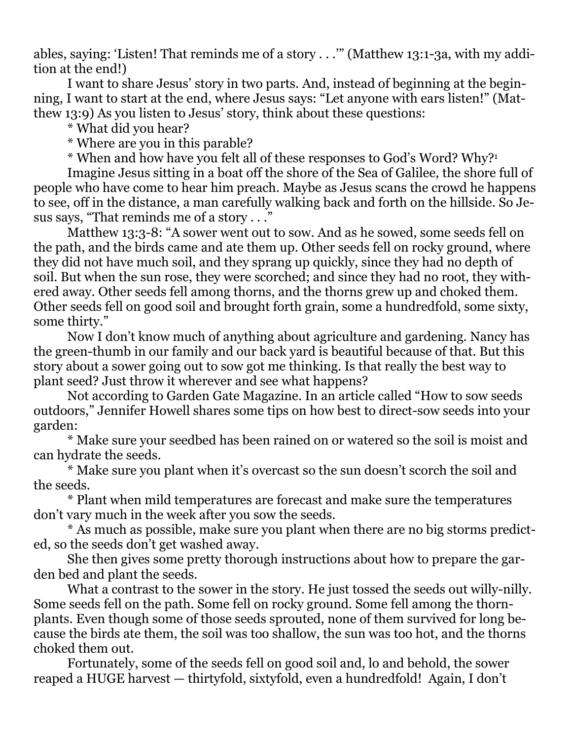ables, saying: 'Listen! That reminds me of a story . . .'" (Matthew 13:1-3a, with my addition at the end!)

I want to share Jesus' story in two parts. And, instead of beginning at the beginning, I want to start at the end, where Jesus says: "Let anyone with ears listen!" (Matthew 13:9) As you listen to Jesus' story, think about these questions:

\* What did you hear?

\* Where are you in this parable?

\* When and how have you felt all of these responses to God's Word? Why?<sup>1</sup>

Imagine Jesus sitting in a boat off the shore of the Sea of Galilee, the shore full of people who have come to hear him preach. Maybe as Jesus scans the crowd he happens to see, off in the distance, a man carefully walking back and forth on the hillside. So Jesus says, "That reminds me of a story . . ."

Matthew 13:3-8: "A sower went out to sow. And as he sowed, some seeds fell on the path, and the birds came and ate them up. Other seeds fell on rocky ground, where they did not have much soil, and they sprang up quickly, since they had no depth of soil. But when the sun rose, they were scorched; and since they had no root, they withered away. Other seeds fell among thorns, and the thorns grew up and choked them. Other seeds fell on good soil and brought forth grain, some a hundredfold, some sixty, some thirty."

Now I don't know much of anything about agriculture and gardening. Nancy has the green-thumb in our family and our back yard is beautiful because of that. But this story about a sower going out to sow got me thinking. Is that really the best way to plant seed? Just throw it wherever and see what happens?

Not according to Garden Gate Magazine. In an article called "How to sow seeds outdoors," Jennifer Howell shares some tips on how best to direct-sow seeds into your garden:

\* Make sure your seedbed has been rained on or watered so the soil is moist and can hydrate the seeds.

\* Make sure you plant when it's overcast so the sun doesn't scorch the soil and the seeds.

\* Plant when mild temperatures are forecast and make sure the temperatures don't vary much in the week after you sow the seeds.

\* As much as possible, make sure you plant when there are no big storms predicted, so the seeds don't get washed away.

She then gives some pretty thorough instructions about how to prepare the garden bed and plant the seeds.

What a contrast to the sower in the story. He just tossed the seeds out willy-nilly. Some seeds fell on the path. Some fell on rocky ground. Some fell among the thornplants. Even though some of those seeds sprouted, none of them survived for long because the birds ate them, the soil was too shallow, the sun was too hot, and the thorns choked them out.

Fortunately, some of the seeds fell on good soil and, lo and behold, the sower reaped a HUGE harvest — thirtyfold, sixtyfold, even a hundredfold! Again, I don't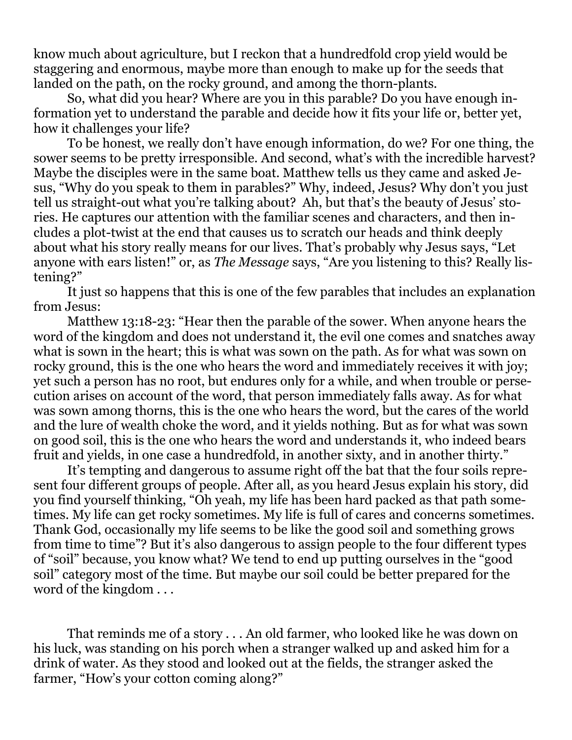know much about agriculture, but I reckon that a hundredfold crop yield would be staggering and enormous, maybe more than enough to make up for the seeds that landed on the path, on the rocky ground, and among the thorn-plants.

So, what did you hear? Where are you in this parable? Do you have enough information yet to understand the parable and decide how it fits your life or, better yet, how it challenges your life?

To be honest, we really don't have enough information, do we? For one thing, the sower seems to be pretty irresponsible. And second, what's with the incredible harvest? Maybe the disciples were in the same boat. Matthew tells us they came and asked Jesus, "Why do you speak to them in parables?" Why, indeed, Jesus? Why don't you just tell us straight-out what you're talking about? Ah, but that's the beauty of Jesus' stories. He captures our attention with the familiar scenes and characters, and then includes a plot-twist at the end that causes us to scratch our heads and think deeply about what his story really means for our lives. That's probably why Jesus says, "Let anyone with ears listen!" or, as *The Message* says, "Are you listening to this? Really listening?"

It just so happens that this is one of the few parables that includes an explanation from Jesus:

Matthew 13:18-23: "Hear then the parable of the sower. When anyone hears the word of the kingdom and does not understand it, the evil one comes and snatches away what is sown in the heart; this is what was sown on the path. As for what was sown on rocky ground, this is the one who hears the word and immediately receives it with joy; yet such a person has no root, but endures only for a while, and when trouble or persecution arises on account of the word, that person immediately falls away. As for what was sown among thorns, this is the one who hears the word, but the cares of the world and the lure of wealth choke the word, and it yields nothing. But as for what was sown on good soil, this is the one who hears the word and understands it, who indeed bears fruit and yields, in one case a hundredfold, in another sixty, and in another thirty."

It's tempting and dangerous to assume right off the bat that the four soils represent four different groups of people. After all, as you heard Jesus explain his story, did you find yourself thinking, "Oh yeah, my life has been hard packed as that path sometimes. My life can get rocky sometimes. My life is full of cares and concerns sometimes. Thank God, occasionally my life seems to be like the good soil and something grows from time to time"? But it's also dangerous to assign people to the four different types of "soil" because, you know what? We tend to end up putting ourselves in the "good soil" category most of the time. But maybe our soil could be better prepared for the word of the kingdom . . .

That reminds me of a story . . . An old farmer, who looked like he was down on his luck, was standing on his porch when a stranger walked up and asked him for a drink of water. As they stood and looked out at the fields, the stranger asked the farmer, "How's your cotton coming along?"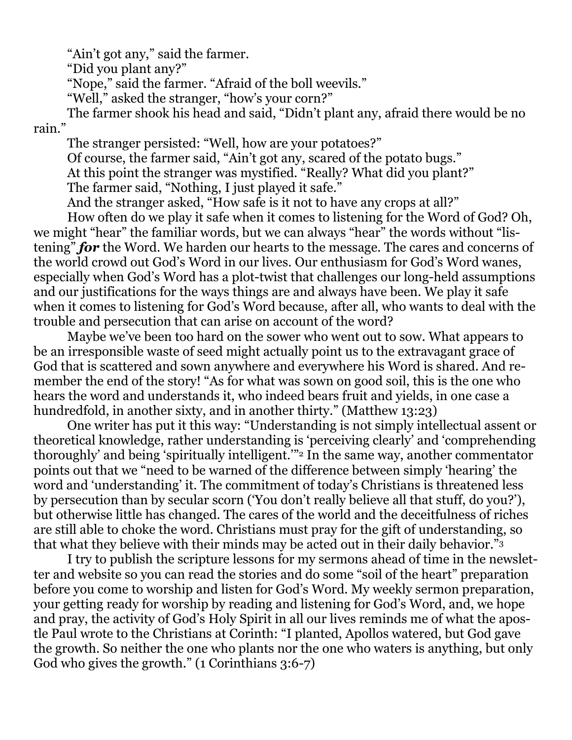"Ain't got any," said the farmer.

"Did you plant any?"

"Nope," said the farmer. "Afraid of the boll weevils."

"Well," asked the stranger, "how's your corn?"

The farmer shook his head and said, "Didn't plant any, afraid there would be no rain."

The stranger persisted: "Well, how are your potatoes?" Of course, the farmer said, "Ain't got any, scared of the potato bugs." At this point the stranger was mystified. "Really? What did you plant?" The farmer said, "Nothing, I just played it safe." And the stranger asked, "How safe is it not to have any crops at all?"

How often do we play it safe when it comes to listening for the Word of God? Oh, we might "hear" the familiar words, but we can always "hear" the words without "listening" *for* the Word. We harden our hearts to the message. The cares and concerns of the world crowd out God's Word in our lives. Our enthusiasm for God's Word wanes, especially when God's Word has a plot-twist that challenges our long-held assumptions and our justifications for the ways things are and always have been. We play it safe when it comes to listening for God's Word because, after all, who wants to deal with the trouble and persecution that can arise on account of the word?

Maybe we've been too hard on the sower who went out to sow. What appears to be an irresponsible waste of seed might actually point us to the extravagant grace of God that is scattered and sown anywhere and everywhere his Word is shared. And remember the end of the story! "As for what was sown on good soil, this is the one who hears the word and understands it, who indeed bears fruit and yields, in one case a hundredfold, in another sixty, and in another thirty." (Matthew 13:23)

One writer has put it this way: "Understanding is not simply intellectual assent or theoretical knowledge, rather understanding is 'perceiving clearly' and 'comprehending thoroughly' and being 'spiritually intelligent.'"<sup>2</sup> In the same way, another commentator points out that we "need to be warned of the difference between simply 'hearing' the word and 'understanding' it. The commitment of today's Christians is threatened less by persecution than by secular scorn ('You don't really believe all that stuff, do you?'), but otherwise little has changed. The cares of the world and the deceitfulness of riches are still able to choke the word. Christians must pray for the gift of understanding, so that what they believe with their minds may be acted out in their daily behavior."<sup>3</sup>

I try to publish the scripture lessons for my sermons ahead of time in the newsletter and website so you can read the stories and do some "soil of the heart" preparation before you come to worship and listen for God's Word. My weekly sermon preparation, your getting ready for worship by reading and listening for God's Word, and, we hope and pray, the activity of God's Holy Spirit in all our lives reminds me of what the apostle Paul wrote to the Christians at Corinth: "I planted, Apollos watered, but God gave the growth. So neither the one who plants nor the one who waters is anything, but only God who gives the growth." (1 Corinthians 3:6-7)